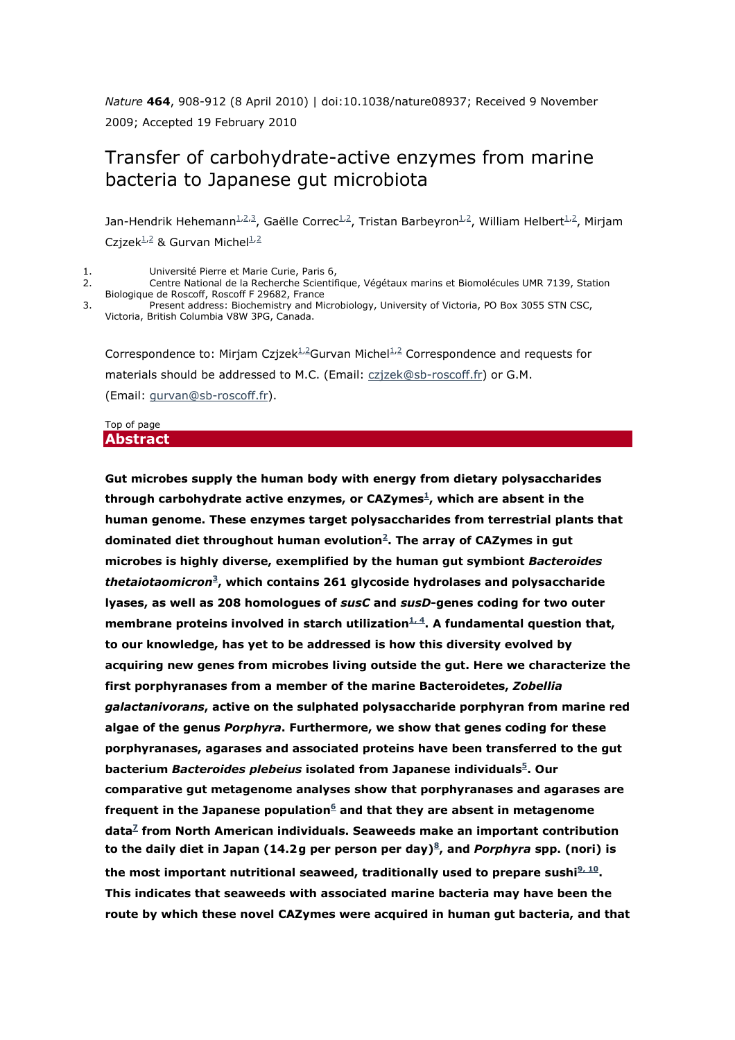*Nature* **464**, 908-912 (8 April 2010) | doi:10.1038/nature08937; Received 9 November 2009; Accepted 19 February 2010

## Transfer of carbohydrate-active enzymes from marine bacteria to Japanese gut microbiota

Jan-Hendrik Hehemann<sup>1,2,3</sup>, Gaëlle Correc<sup>1,2</sup>, Tristan Barbeyron<sup>1,2</sup>, William Helbert<sup>1,2</sup>, Mirjam Czjzek<sup>1,2</sup> & Gurvan Michel<sup>1,2</sup>

1. Université Pierre et Marie Curie, Paris 6,<br>2 Centre National de la Recherche Scientif 2. Centre National de la Recherche Scientifique, Végétaux marins et Biomolécules UMR 7139, Station Biologique de Roscoff, Roscoff F 29682, France

3. Present address: Biochemistry and Microbiology, University of Victoria, PO Box 3055 STN CSC, Victoria, British Columbia V8W 3PG, Canada.

Correspondence to: Mirjam Czjzek<sup>1,2</sup>Gurvan Michel<sup>1,2</sup> Correspondence and requests for materials should be addressed to M.C. (Email: czjzek@sb-roscoff.fr) or G.M. (Email: gurvan@sb-roscoff.fr).

## Top of page **Abstract**

**Gut microbes supply the human body with energy from dietary polysaccharides through carbohydrate active enzymes, or CAZymes<sup>1</sup> , which are absent in the human genome. These enzymes target polysaccharides from terrestrial plants that dominated diet throughout human evolution<sup>2</sup> . The array of CAZymes in gut microbes is highly diverse, exemplified by the human gut symbiont** *Bacteroides thetaiotaomicron***<sup>3</sup> , which contains 261 glycoside hydrolases and polysaccharide lyases, as well as 208 homologues of** *susC* **and** *susD***-genes coding for two outer membrane proteins involved in starch utilization1, 4. A fundamental question that, to our knowledge, has yet to be addressed is how this diversity evolved by acquiring new genes from microbes living outside the gut. Here we characterize the first porphyranases from a member of the marine Bacteroidetes,** *Zobellia galactanivorans***, active on the sulphated polysaccharide porphyran from marine red algae of the genus** *Porphyra***. Furthermore, we show that genes coding for these porphyranases, agarases and associated proteins have been transferred to the gut bacterium** *Bacteroides plebeius* **isolated from Japanese individuals<sup>5</sup> . Our comparative gut metagenome analyses show that porphyranases and agarases are frequent in the Japanese population<sup>6</sup> and that they are absent in metagenome data<sup>7</sup> from North American individuals. Seaweeds make an important contribution to the daily diet in Japan (14.2 g per person per day)<sup>8</sup> , and** *Porphyra* **spp. (nori) is the most important nutritional seaweed, traditionally used to prepare sushi9, 10 . This indicates that seaweeds with associated marine bacteria may have been the route by which these novel CAZymes were acquired in human gut bacteria, and that**